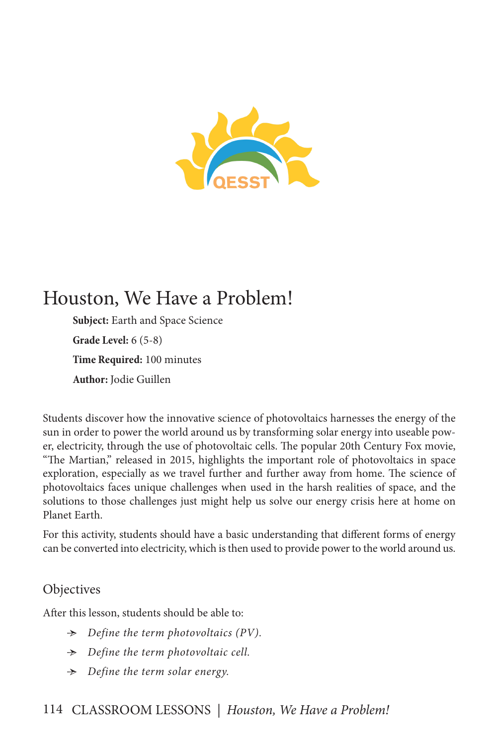

# Houston, We Have a Problem!

**Subject:** Earth and Space Science **Grade Level:** 6 (5-8) **Time Required:** 100 minutes **Author:** Jodie Guillen

Students discover how the innovative science of photovoltaics harnesses the energy of the sun in order to power the world around us by transforming solar energy into useable power, electricity, through the use of photovoltaic cells. The popular 20th Century Fox movie, "The Martian," released in 2015, highlights the important role of photovoltaics in space exploration, especially as we travel further and further away from home. The science of photovoltaics faces unique challenges when used in the harsh realities of space, and the solutions to those challenges just might help us solve our energy crisis here at home on Planet Earth.

For this activity, students should have a basic understanding that different forms of energy can be converted into electricity, which is then used to provide power to the world around us.

# **Objectives**

After this lesson, students should be able to:

- Ӻ *Define the term photovoltaics (PV).*
- Ӻ *Define the term photovoltaic cell.*
- Ӻ *Define the term solar energy.*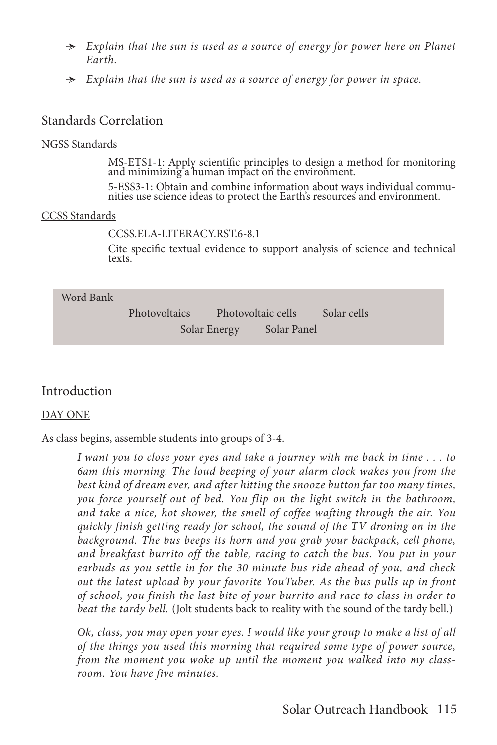- Ӻ *Explain that the sun is used as a source of energy for power here on Planet Earth.*
- Ӻ *Explain that the sun is used as a source of energy for power in space.*

# Standards Correlation

#### NGSS Standards

MS-ETS1-1: Apply scientific principles to design a method for monitoring and minimizing a human impact on the environment.

5-ESS3-1: Obtain and combine information about ways individual commu- nities use science ideas to protect the Earth's resources and environment.

#### CCSS Standards

CCSS.ELA-LITERACY.RST.6-8.1

Cite specific textual evidence to support analysis of science and technical texts.

| Word Bank |
|-----------|
|-----------|

Photovoltaics Photovoltaic cells Solar cells Solar Energy Solar Panel

## Introduction

#### DAY ONE

As class begins, assemble students into groups of 3-4.

*I want you to close your eyes and take a journey with me back in time . . . to 6am this morning. The loud beeping of your alarm clock wakes you from the best kind of dream ever, and after hitting the snooze button far too many times, you force yourself out of bed. You flip on the light switch in the bathroom, and take a nice, hot shower, the smell of coffee wafting through the air. You quickly finish getting ready for school, the sound of the TV droning on in the background. The bus beeps its horn and you grab your backpack, cell phone,*  and breakfast burrito off the table, racing to catch the bus. You put in your *earbuds as you settle in for the 30 minute bus ride ahead of you, and check out the latest upload by your favorite YouTuber. As the bus pulls up in front of school, you finish the last bite of your burrito and race to class in order to beat the tardy bell.* (Jolt students back to reality with the sound of the tardy bell.)

*Ok, class, you may open your eyes. I would like your group to make a list of all of the things you used this morning that required some type of power source, from the moment you woke up until the moment you walked into my classroom. You have five minutes.*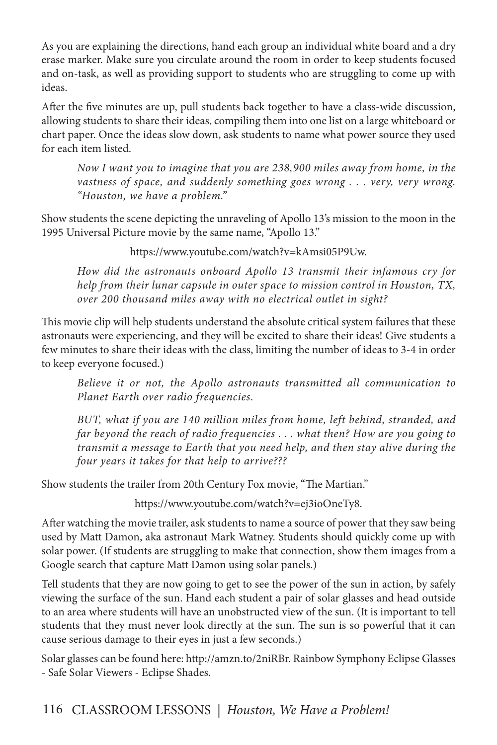As you are explaining the directions, hand each group an individual white board and a dry erase marker. Make sure you circulate around the room in order to keep students focused and on-task, as well as providing support to students who are struggling to come up with ideas.

After the five minutes are up, pull students back together to have a class-wide discussion, allowing students to share their ideas, compiling them into one list on a large whiteboard or chart paper. Once the ideas slow down, ask students to name what power source they used for each item listed.

*Now I want you to imagine that you are 238,900 miles away from home, in the vastness of space, and suddenly something goes wrong . . . very, very wrong. "Houston, we have a problem."*

Show students the scene depicting the unraveling of Apollo 13's mission to the moon in the 1995 Universal Picture movie by the same name, "Apollo 13."

https://www.youtube.com/watch?v=kAmsi05P9Uw.

*How did the astronauts onboard Apollo 13 transmit their infamous cry for help from their lunar capsule in outer space to mission control in Houston, TX, over 200 thousand miles away with no electrical outlet in sight?*

This movie clip will help students understand the absolute critical system failures that these astronauts were experiencing, and they will be excited to share their ideas! Give students a few minutes to share their ideas with the class, limiting the number of ideas to 3-4 in order to keep everyone focused.)

*Believe it or not, the Apollo astronauts transmitted all communication to Planet Earth over radio frequencies.*

*BUT, what if you are 140 million miles from home, left behind, stranded, and far beyond the reach of radio frequencies . . . what then? How are you going to transmit a message to Earth that you need help, and then stay alive during the four years it takes for that help to arrive???*

Show students the trailer from 20th Century Fox movie, "The Martian."

https://www.youtube.com/watch?v=ej3ioOneTy8.

After watching the movie trailer, ask students to name a source of power that they saw being used by Matt Damon, aka astronaut Mark Watney. Students should quickly come up with solar power. (If students are struggling to make that connection, show them images from a Google search that capture Matt Damon using solar panels.)

Tell students that they are now going to get to see the power of the sun in action, by safely viewing the surface of the sun. Hand each student a pair of solar glasses and head outside to an area where students will have an unobstructed view of the sun. (It is important to tell students that they must never look directly at the sun. The sun is so powerful that it can cause serious damage to their eyes in just a few seconds.)

Solar glasses can be found here: http://amzn.to/2niRBr. Rainbow Symphony Eclipse Glasses - Safe Solar Viewers - Eclipse Shades.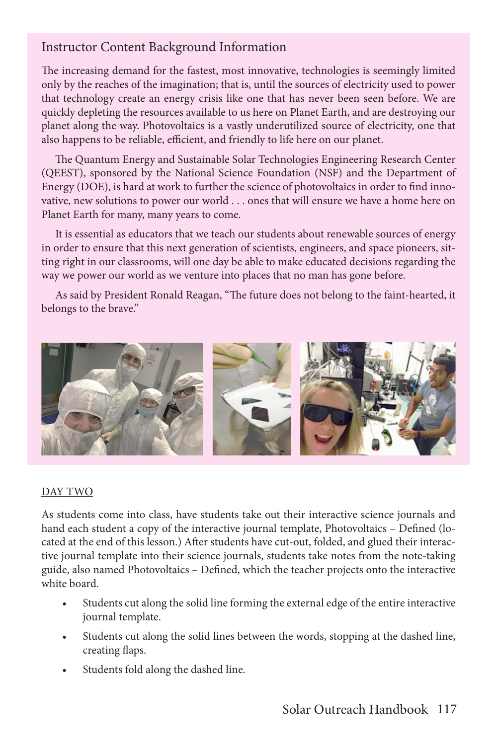# Instructor Content Background Information

The increasing demand for the fastest, most innovative, technologies is seemingly limited only by the reaches of the imagination; that is, until the sources of electricity used to power that technology create an energy crisis like one that has never been seen before. We are quickly depleting the resources available to us here on Planet Earth, and are destroying our planet along the way. Photovoltaics is a vastly underutilized source of electricity, one that also happens to be reliable, efficient, and friendly to life here on our planet.

The Quantum Energy and Sustainable Solar Technologies Engineering Research Center (QEEST), sponsored by the National Science Foundation (NSF) and the Department of Energy (DOE), is hard at work to further the science of photovoltaics in order to find innovative, new solutions to power our world . . . ones that will ensure we have a home here on Planet Earth for many, many years to come.

It is essential as educators that we teach our students about renewable sources of energy in order to ensure that this next generation of scientists, engineers, and space pioneers, sitting right in our classrooms, will one day be able to make educated decisions regarding the way we power our world as we venture into places that no man has gone before.

As said by President Ronald Reagan, "The future does not belong to the faint-hearted, it belongs to the brave."



#### DAY TWO

As students come into class, have students take out their interactive science journals and hand each student a copy of the interactive journal template, Photovoltaics – Defined (located at the end of this lesson.) After students have cut-out, folded, and glued their interactive journal template into their science journals, students take notes from the note-taking guide, also named Photovoltaics – Defined, which the teacher projects onto the interactive white board.

- Students cut along the solid line forming the external edge of the entire interactive journal template.
- Students cut along the solid lines between the words, stopping at the dashed line, creating flaps.
- Students fold along the dashed line.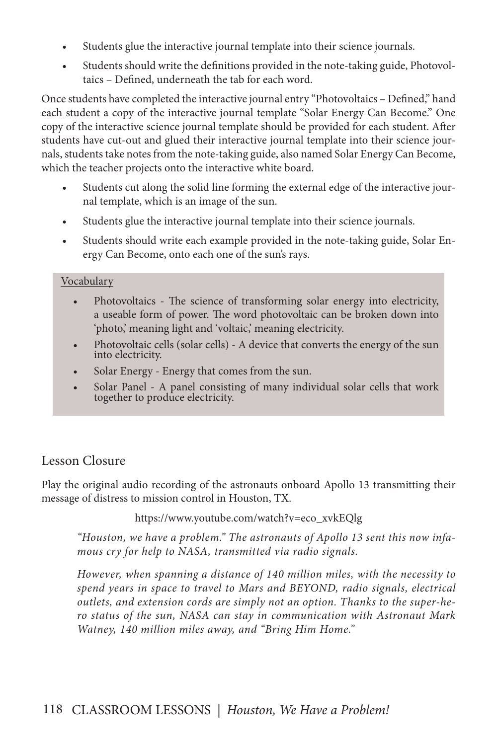- Students glue the interactive journal template into their science journals.
- Students should write the definitions provided in the note-taking guide, Photovoltaics – Defined, underneath the tab for each word.

Once students have completed the interactive journal entry "Photovoltaics – Defined," hand each student a copy of the interactive journal template "Solar Energy Can Become." One copy of the interactive science journal template should be provided for each student. After students have cut-out and glued their interactive journal template into their science journals, students take notes from the note-taking guide, also named Solar Energy Can Become, which the teacher projects onto the interactive white board.

- Students cut along the solid line forming the external edge of the interactive journal template, which is an image of the sun.
- Students glue the interactive journal template into their science journals.
- Students should write each example provided in the note-taking guide, Solar Energy Can Become, onto each one of the sun's rays.

#### Vocabulary

- Photovoltaics The science of transforming solar energy into electricity, a useable form of power. The word photovoltaic can be broken down into 'photo,' meaning light and 'voltaic,' meaning electricity.
- Photovoltaic cells (solar cells) A device that converts the energy of the sun into electricity.
- Solar Energy Energy that comes from the sun.
- Solar Panel A panel consisting of many individual solar cells that work together to produce electricity.

# Lesson Closure

Play the original audio recording of the astronauts onboard Apollo 13 transmitting their message of distress to mission control in Houston, TX.

https://www.youtube.com/watch?v=eco\_xvkEQlg

*"Houston, we have a problem." The astronauts of Apollo 13 sent this now infamous cry for help to NASA, transmitted via radio signals.* 

*However, when spanning a distance of 140 million miles, with the necessity to spend years in space to travel to Mars and BEYOND, radio signals, electrical outlets, and extension cords are simply not an option. Thanks to the super-hero status of the sun, NASA can stay in communication with Astronaut Mark Watney, 140 million miles away, and "Bring Him Home."*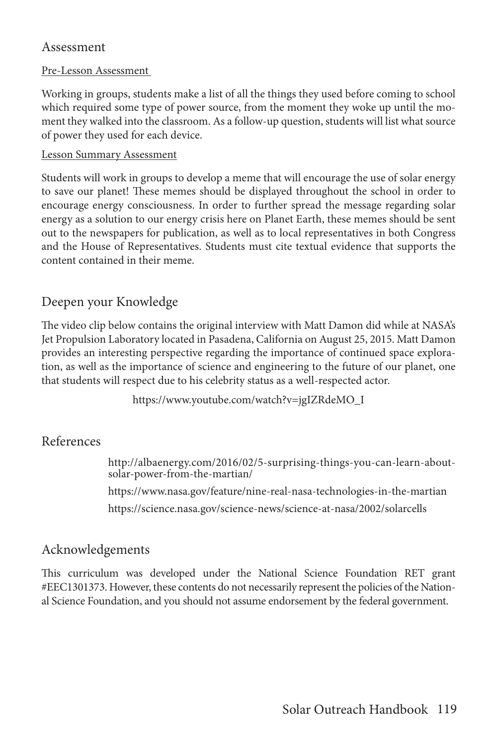## Assessment

#### Pre-Lesson Assessment

Working in groups, students make a list of all the things they used before coming to school which required some type of power source, from the moment they woke up until the moment they walked into the classroom. As a follow-up question, students will list what source of power they used for each device.

#### Lesson Summary Assessment

Students will work in groups to develop a meme that will encourage the use of solar energy to save our planet! These memes should be displayed throughout the school in order to encourage energy consciousness. In order to further spread the message regarding solar energy as a solution to our energy crisis here on Planet Earth, these memes should be sent out to the newspapers for publication, as well as to local representatives in both Congress and the House of Representatives. Students must cite textual evidence that supports the content contained in their meme.

## Deepen your Knowledge

The video clip below contains the original interview with Matt Damon did while at NASA's Jet Propulsion Laboratory located in Pasadena, California on August 25, 2015. Matt Damon provides an interesting perspective regarding the importance of continued space exploration, as well as the importance of science and engineering to the future of our planet, one that students will respect due to his celebrity status as a well-respected actor.

https://www.youtube.com/watch?v=jgIZRdeMO\_I

## References

http://albaenergy.com/2016/02/5-surprising-things-you-can-learn-aboutsolar-power-from-the-martian/ https://www.nasa.gov/feature/nine-real-nasa-technologies-in-the-martian https://science.nasa.gov/science-news/science-at-nasa/2002/solarcells

## Acknowledgements

This curriculum was developed under the National Science Foundation RET grant #EEC1301373. However, these contents do not necessarily represent the policies of the National Science Foundation, and you should not assume endorsement by the federal government.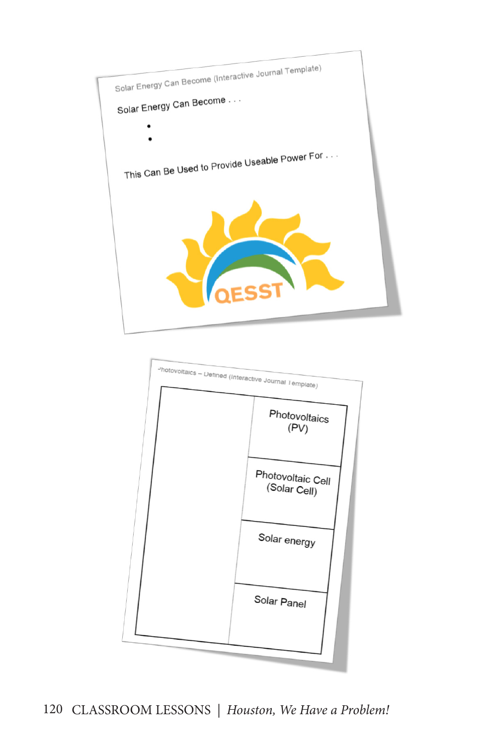